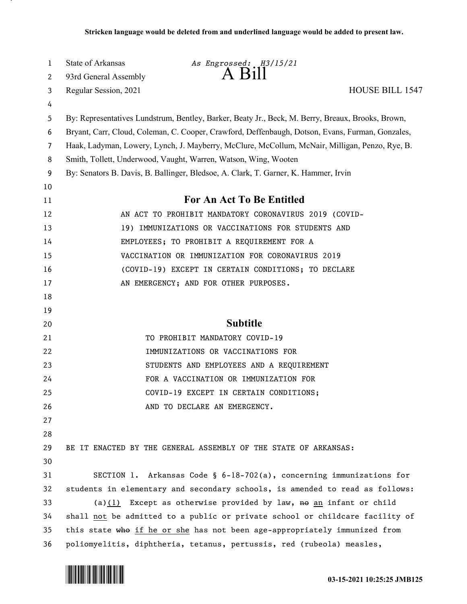| $\mathbf{1}$   | State of Arkansas     | As Engrossed: H3/15/21                                                                            |                        |
|----------------|-----------------------|---------------------------------------------------------------------------------------------------|------------------------|
| $\mathbf{2}$   | 93rd General Assembly | $A$ B <sub>1</sub> $\text{II}$                                                                    |                        |
| 3              | Regular Session, 2021 |                                                                                                   | <b>HOUSE BILL 1547</b> |
| 4              |                       |                                                                                                   |                        |
| 5              |                       | By: Representatives Lundstrum, Bentley, Barker, Beaty Jr., Beck, M. Berry, Breaux, Brooks, Brown, |                        |
| 6              |                       | Bryant, Carr, Cloud, Coleman, C. Cooper, Crawford, Deffenbaugh, Dotson, Evans, Furman, Gonzales,  |                        |
| $\overline{7}$ |                       | Haak, Ladyman, Lowery, Lynch, J. Mayberry, McClure, McCollum, McNair, Milligan, Penzo, Rye, B.    |                        |
| 8              |                       | Smith, Tollett, Underwood, Vaught, Warren, Watson, Wing, Wooten                                   |                        |
| 9              |                       | By: Senators B. Davis, B. Ballinger, Bledsoe, A. Clark, T. Garner, K. Hammer, Irvin               |                        |
| 10             |                       |                                                                                                   |                        |
| 11             |                       | For An Act To Be Entitled                                                                         |                        |
| 12             |                       | AN ACT TO PROHIBIT MANDATORY CORONAVIRUS 2019 (COVID-                                             |                        |
| 13             |                       | 19) IMMUNIZATIONS OR VACCINATIONS FOR STUDENTS AND                                                |                        |
| 14             |                       | EMPLOYEES; TO PROHIBIT A REQUIREMENT FOR A                                                        |                        |
| 15             |                       | VACCINATION OR IMMUNIZATION FOR CORONAVIRUS 2019                                                  |                        |
| 16             |                       | (COVID-19) EXCEPT IN CERTAIN CONDITIONS; TO DECLARE                                               |                        |
| 17             |                       | AN EMERGENCY; AND FOR OTHER PURPOSES.                                                             |                        |
| 18             |                       |                                                                                                   |                        |
| 19             |                       |                                                                                                   |                        |
| 20             |                       | <b>Subtitle</b>                                                                                   |                        |
| 21             |                       | TO PROHIBIT MANDATORY COVID-19                                                                    |                        |
| 22             |                       | IMMUNIZATIONS OR VACCINATIONS FOR                                                                 |                        |
| 23             |                       | STUDENTS AND EMPLOYEES AND A REQUIREMENT                                                          |                        |
| 24             |                       | FOR A VACCINATION OR IMMUNIZATION FOR                                                             |                        |
| 25             |                       | COVID-19 EXCEPT IN CERTAIN CONDITIONS;                                                            |                        |
| 26             |                       | AND TO DECLARE AN EMERGENCY.                                                                      |                        |
| 27             |                       |                                                                                                   |                        |
| 28             |                       |                                                                                                   |                        |
| 29             |                       | BE IT ENACTED BY THE GENERAL ASSEMBLY OF THE STATE OF ARKANSAS:                                   |                        |
| 30             |                       |                                                                                                   |                        |
| 31             |                       | SECTION 1. Arkansas Code § $6-18-702(a)$ , concerning immunizations for                           |                        |
| 32             |                       | students in elementary and secondary schools, is amended to read as follows:                      |                        |
| 33             |                       | (a)(1) Except as otherwise provided by law, no an infant or child                                 |                        |
| 34             |                       | shall not be admitted to a public or private school or childcare facility of                      |                        |
| 35             |                       | this state who if he or she has not been age-appropriately immunized from                         |                        |
| 36             |                       | poliomyelitis, diphtheria, tetanus, pertussis, red (rubeola) measles,                             |                        |

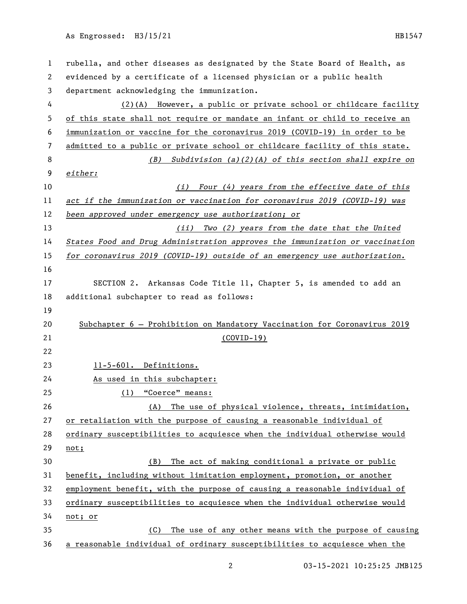As Engrossed: H3/15/21 HB1547

| $\mathbf 1$    | rubella, and other diseases as designated by the State Board of Health, as   |
|----------------|------------------------------------------------------------------------------|
| 2              | evidenced by a certificate of a licensed physician or a public health        |
| 3              | department acknowledging the immunization.                                   |
| 4              | (2)(A) However, a public or private school or childcare facility             |
| 5              | of this state shall not require or mandate an infant or child to receive an  |
| 6              | immunization or vaccine for the coronavirus 2019 (COVID-19) in order to be   |
| $\overline{7}$ | admitted to a public or private school or childcare facility of this state.  |
| 8              | (B) Subdivision (a)(2)(A) of this section shall expire on                    |
| 9              | either:                                                                      |
| 10             | Four (4) years from the effective date of this<br>(i)                        |
| 11             | act if the immunization or vaccination for coronavirus 2019 (COVID-19) was   |
| 12             | been approved under emergency use authorization; or                          |
| 13             | (ii) Two (2) years from the date that the United                             |
| 14             | States Food and Drug Administration approves the immunization or vaccination |
| 15             | for coronavirus 2019 (COVID-19) outside of an emergency use authorization.   |
| 16             |                                                                              |
| 17             | SECTION 2. Arkansas Code Title 11, Chapter 5, is amended to add an           |
| 18             | additional subchapter to read as follows:                                    |
| 19             |                                                                              |
| 20             | Subchapter 6 - Prohibition on Mandatory Vaccination for Coronavirus 2019     |
| 21             | $(COVID-19)$                                                                 |
| 22             |                                                                              |
| 23             | 11-5-601. Definitions.                                                       |
| 24             | As used in this subchapter:                                                  |
| 25             | (1) "Coerce" means:                                                          |
| 26             | The use of physical violence, threats, intimidation,<br>(A)                  |
| 27             | or retaliation with the purpose of causing a reasonable individual of        |
| 28             | ordinary susceptibilities to acquiesce when the individual otherwise would   |
| 29             | not;                                                                         |
| 30             | The act of making conditional a private or public<br>(B)                     |
| 31             | benefit, including without limitation employment, promotion, or another      |
| 32             | employment benefit, with the purpose of causing a reasonable individual of   |
| 33             | ordinary susceptibilities to acquiesce when the individual otherwise would   |
| 34             | not; or                                                                      |
| 35             | The use of any other means with the purpose of causing<br>(C)                |
| 36             | a reasonable individual of ordinary susceptibilities to acquiesce when the   |

03-15-2021 10:25:25 JMB125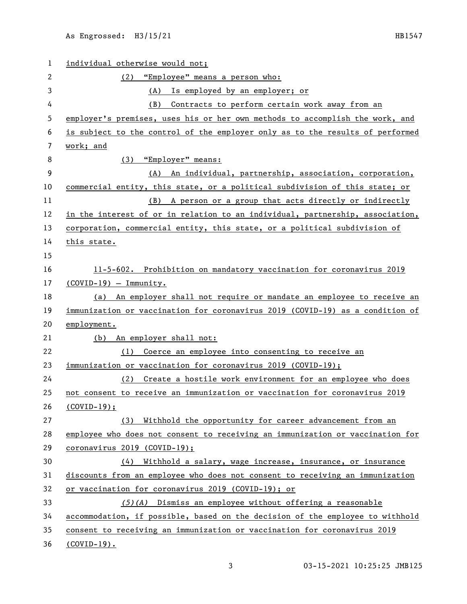| 1  | individual otherwise would not;                                               |
|----|-------------------------------------------------------------------------------|
| 2  | (2) "Employee" means a person who:                                            |
| 3  | Is employed by an employer; or<br>(A)                                         |
| 4  | Contracts to perform certain work away from an<br>(B)                         |
| 5  | employer's premises, uses his or her own methods to accomplish the work, and  |
| 6  | is subject to the control of the employer only as to the results of performed |
| 7  | work; and                                                                     |
| 8  | (3) "Employer" means:                                                         |
| 9  | An individual, partnership, association, corporation,<br>(A)                  |
| 10 | commercial entity, this state, or a political subdivision of this state; or   |
| 11 | A person or a group that acts directly or indirectly<br>(B)                   |
| 12 | in the interest of or in relation to an individual, partnership, association, |
| 13 | corporation, commercial entity, this state, or a political subdivision of     |
| 14 | this state.                                                                   |
| 15 |                                                                               |
| 16 | 11-5-602. Prohibition on mandatory vaccination for coronavirus 2019           |
| 17 | $(COVID-19) - Immunity.$                                                      |
| 18 | (a) An employer shall not require or mandate an employee to receive an        |
| 19 | immunization or vaccination for coronavirus 2019 (COVID-19) as a condition of |
| 20 | employment.                                                                   |
| 21 | (b) An employer shall not:                                                    |
| 22 | Coerce an employee into consenting to receive an<br>(1)                       |
| 23 | immunization or vaccination for coronavirus 2019 (COVID-19);                  |
| 24 | (2) Create a hostile work environment for an employee who does                |
| 25 | not consent to receive an immunization or vaccination for coronavirus 2019    |
| 26 | $(COVID-19);$                                                                 |
| 27 | Withhold the opportunity for career advancement from an<br>(3)                |
| 28 | employee who does not consent to receiving an immunization or vaccination for |
| 29 | coronavirus 2019 (COVID-19);                                                  |
| 30 | Withhold a salary, wage increase, insurance, or insurance<br>(4)              |
| 31 | discounts from an employee who does not consent to receiving an immunization  |
| 32 | or vaccination for coronavirus 2019 (COVID-19); or                            |
| 33 | $(5)$ (A) Dismiss an employee without offering a reasonable                   |
| 34 | accommodation, if possible, based on the decision of the employee to withhold |
| 35 | consent to receiving an immunization or vaccination for coronavirus 2019      |
| 36 | $(COVID-19)$ .                                                                |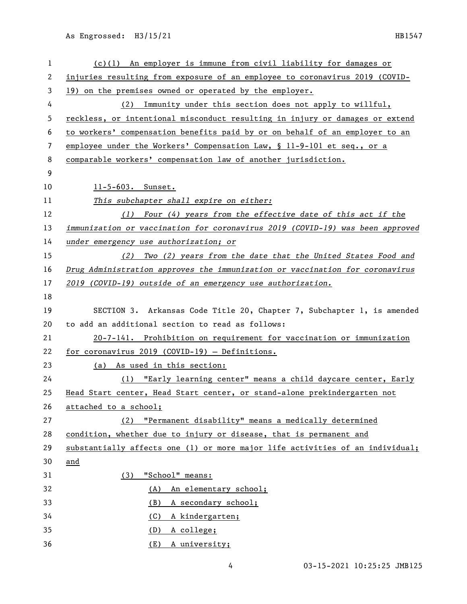As Engrossed: H3/15/21 HB1547

| 1  | $(c)(1)$ An employer is immune from civil liability for damages or            |
|----|-------------------------------------------------------------------------------|
| 2  | injuries resulting from exposure of an employee to coronavirus 2019 (COVID-   |
| 3  | 19) on the premises owned or operated by the employer.                        |
| 4  | (2) Immunity under this section does not apply to willful,                    |
| 5  | reckless, or intentional misconduct resulting in injury or damages or extend  |
| 6  | to workers' compensation benefits paid by or on behalf of an employer to an   |
| 7  | employee under the Workers' Compensation Law, § 11-9-101 et seq., or a        |
| 8  | comparable workers' compensation law of another jurisdiction.                 |
| 9  |                                                                               |
| 10 | 11-5-603. Sunset.                                                             |
| 11 | This subchapter shall expire on either:                                       |
| 12 | (1) Four (4) years from the effective date of this act if the                 |
| 13 | immunization or vaccination for coronavirus 2019 (COVID-19) was been approved |
| 14 | under emergency use authorization; or                                         |
| 15 | (2) Two (2) years from the date that the United States Food and               |
| 16 | Drug Administration approves the immunization or vaccination for coronavirus  |
| 17 | 2019 (COVID-19) outside of an emergency use authorization.                    |
| 18 |                                                                               |
| 19 | SECTION 3. Arkansas Code Title 20, Chapter 7, Subchapter 1, is amended        |
| 20 | to add an additional section to read as follows:                              |
| 21 | 20-7-141. Prohibition on requirement for vaccination or immunization          |
| 22 | for coronavirus 2019 (COVID-19) - Definitions.                                |
| 23 | (a) As used in this section:                                                  |
| 24 | (1) "Early learning center" means a child daycare center, Early               |
| 25 | Head Start center, Head Start center, or stand-alone prekindergarten not      |
| 26 | attached to a school;                                                         |
| 27 | "Permanent disability" means a medically determined<br>(2)                    |
| 28 | condition, whether due to injury or disease, that is permanent and            |
| 29 | substantially affects one (1) or more major life activities of an individual; |
| 30 | and                                                                           |
| 31 | "School" means:<br>(3)                                                        |
| 32 | (A) An elementary school;                                                     |
| 33 | (B)<br>A secondary school;                                                    |
| 34 | (C)<br>A kindergarten;                                                        |
| 35 |                                                                               |
|    | (D)<br>A college;                                                             |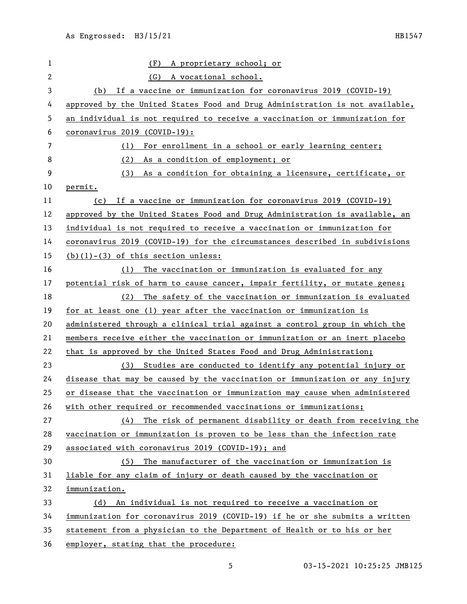| 1  | (F)<br>A proprietary school; or                                              |
|----|------------------------------------------------------------------------------|
| 2  | (G)<br>A vocational school.                                                  |
| 3  | If a vaccine or immunization for coronavirus 2019 (COVID-19)<br>(b)          |
| 4  | approved by the United States Food and Drug Administration is not available, |
| 5  | an individual is not required to receive a vaccination or immunization for   |
| 6  | coronavirus 2019 (COVID-19):                                                 |
| 7  | (1)<br>For enrollment in a school or early learning center;                  |
| 8  | As a condition of employment; or<br>(2)                                      |
| 9  | (3)<br>As a condition for obtaining a licensure, certificate, or             |
| 10 | permit.                                                                      |
| 11 | If a vaccine or immunization for coronavirus 2019 (COVID-19)<br>(c)          |
| 12 | approved by the United States Food and Drug Administration is available, an  |
| 13 | individual is not required to receive a vaccination or immunization for      |
| 14 | coronavirus 2019 (COVID-19) for the circumstances described in subdivisions  |
| 15 | $(b)(1)-(3)$ of this section unless:                                         |
| 16 | The vaccination or immunization is evaluated for any<br>(1)                  |
| 17 | potential risk of harm to cause cancer, impair fertility, or mutate genes;   |
| 18 | The safety of the vaccination or immunization is evaluated<br>(2)            |
| 19 | for at least one (1) year after the vaccination or immunization is           |
| 20 | administered through a clinical trial against a control group in which the   |
| 21 | members receive either the vaccination or immunization or an inert placebo   |
| 22 | that is approved by the United States Food and Drug Administration;          |
| 23 | (3) Studies are conducted to identify any potential injury or                |
| 24 | disease that may be caused by the vaccination or immunization or any injury  |
| 25 | or disease that the vaccination or immunization may cause when administered  |
| 26 | with other required or recommended vaccinations or immunizations;            |
| 27 | (4) The risk of permanent disability or death from receiving the             |
| 28 | vaccination or immunization is proven to be less than the infection rate     |
| 29 | associated with coronavirus 2019 (COVID-19); and                             |
| 30 | (5) The manufacturer of the vaccination or immunization is                   |
| 31 | liable for any claim of injury or death caused by the vaccination or         |
| 32 | immunization.                                                                |
| 33 | (d) An individual is not required to receive a vaccination or                |
| 34 | immunization for coronavirus 2019 (COVID-19) if he or she submits a written  |
| 35 | statement from a physician to the Department of Health or to his or her      |
| 36 | employer, stating that the procedure:                                        |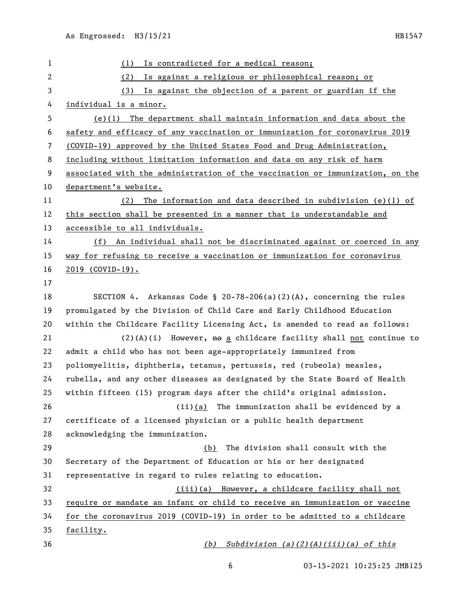| $\mathbf{1}$ | Is contradicted for a medical reason;<br>(1)                                  |
|--------------|-------------------------------------------------------------------------------|
| 2            | (2)<br>Is against a religious or philosophical reason; or                     |
| 3            | (3) Is against the objection of a parent or guardian if the                   |
| 4            | individual is a minor.                                                        |
| 5            | $(e)(1)$ The department shall maintain information and data about the         |
| 6            | safety and efficacy of any vaccination or immunization for coronavirus 2019   |
| 7            | (COVID-19) approved by the United States Food and Drug Administration,        |
| 8            | including without limitation information and data on any risk of harm         |
| 9            | associated with the administration of the vaccination or immunization, on the |
| 10           | department's website.                                                         |
| 11           | The information and data described in subdivision (e)(1) of<br>(2)            |
| 12           | this section shall be presented in a manner that is understandable and        |
| 13           | accessible to all individuals.                                                |
| 14           | (f) An individual shall not be discriminated against or coerced in any        |
| 15           | way for refusing to receive a vaccination or immunization for coronavirus     |
| 16           | 2019 (COVID-19).                                                              |
| 17           |                                                                               |
| 18           | SECTION 4. Arkansas Code § 20-78-206(a)(2)(A), concerning the rules           |
| 19           | promulgated by the Division of Child Care and Early Childhood Education       |
| 20           | within the Childcare Facility Licensing Act, is amended to read as follows:   |
| 21           | $(2)(A)(i)$ However, $A\theta$ a childcare facility shall not continue to     |
| 22           | admit a child who has not been age-appropriately immunized from               |
| 23           | poliomyelitis, diphtheria, tetanus, pertussis, red (rubeola) measles,         |
| 24           | rubella, and any other diseases as designated by the State Board of Health    |
| 25           | within fifteen (15) program days after the child's original admission.        |
| 26           | (ii)(a) The immunization shall be evidenced by a                              |
| 27           | certificate of a licensed physician or a public health department             |
| 28           | acknowledging the immunization.                                               |
| 29           | The division shall consult with the<br>(b)                                    |
| 30           | Secretary of the Department of Education or his or her designated             |
| 31           | representative in regard to rules relating to education.                      |
| 32           | (iii)(a) However, a childcare facility shall not                              |
| 33           | require or mandate an infant or child to receive an immunization or vaccine   |
| 34           | for the coronavirus 2019 (COVID-19) in order to be admitted to a childcare    |
| 35           | facility.                                                                     |
| 36           | Subdivision $(a)(2)(A)(iii)(a)$ of this<br>(b)                                |

03-15-2021 10:25:25 JMB125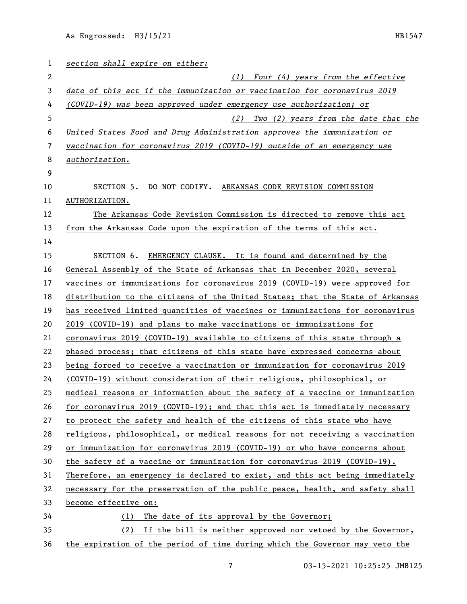| 1  | section shall expire on either:                                               |
|----|-------------------------------------------------------------------------------|
| 2  | (1)<br>Four (4) years from the effective                                      |
| 3  | date of this act if the immunization or vaccination for coronavirus 2019      |
| 4  | (COVID-19) was been approved under emergency use authorization; or            |
| 5  | Two (2) years from the date that the<br>(2)                                   |
| 6  | United States Food and Drug Administration approves the immunization or       |
| 7  | vaccination for coronavirus 2019 (COVID-19) outside of an emergency use       |
| 8  | authorization.                                                                |
| 9  |                                                                               |
| 10 | SECTION 5. DO NOT CODIFY. ARKANSAS CODE REVISION COMMISSION                   |
| 11 | AUTHORIZATION.                                                                |
| 12 | The Arkansas Code Revision Commission is directed to remove this act          |
| 13 | from the Arkansas Code upon the expiration of the terms of this act.          |
| 14 |                                                                               |
| 15 | EMERGENCY CLAUSE. It is found and determined by the<br>SECTION 6.             |
| 16 | General Assembly of the State of Arkansas that in December 2020, several      |
| 17 | vaccines or immunizations for coronavirus 2019 (COVID-19) were approved for   |
| 18 | distribution to the citizens of the United States; that the State of Arkansas |
| 19 | has received limited quantities of vaccines or immunizations for coronavirus  |
| 20 | 2019 (COVID-19) and plans to make vaccinations or immunizations for           |
| 21 | coronavirus 2019 (COVID-19) available to citizens of this state through a     |
| 22 | phased process; that citizens of this state have expressed concerns about     |
| 23 | being forced to receive a vaccination or immunization for coronavirus 2019    |
| 24 | (COVID-19) without consideration of their religious, philosophical, or        |
| 25 | medical reasons or information about the safety of a vaccine or immunization  |
| 26 | for coronavirus 2019 (COVID-19); and that this act is immediately necessary   |
| 27 | to protect the safety and health of the citizens of this state who have       |
| 28 | religious, philosophical, or medical reasons for not receiving a vaccination  |
| 29 | or immunization for coronavirus 2019 (COVID-19) or who have concerns about    |
| 30 | the safety of a vaccine or immunization for coronavirus 2019 (COVID-19).      |
| 31 | Therefore, an emergency is declared to exist, and this act being immediately  |
| 32 | necessary for the preservation of the public peace, health, and safety shall  |
| 33 | become effective on:                                                          |
| 34 | (1) The date of its approval by the Governor;                                 |
| 35 | (2) If the bill is neither approved nor vetoed by the Governor,               |
| 36 | the expiration of the period of time during which the Governor may veto the   |